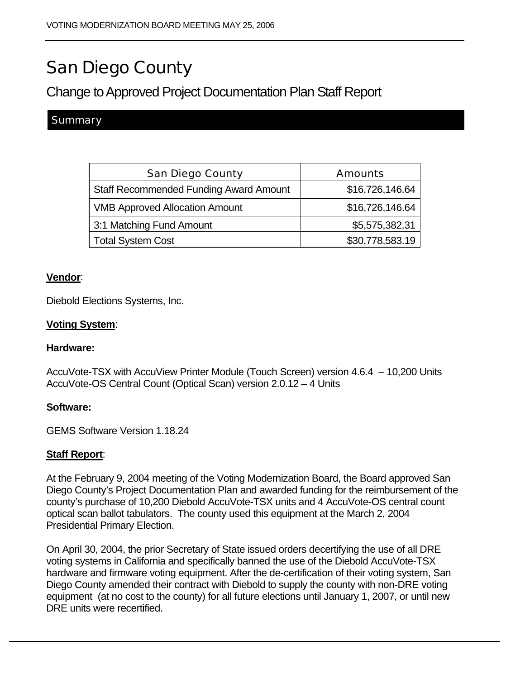# San Diego County

# Change to Approved Project Documentation Plan Staff Report

# **Summary**

| <b>San Diego County</b>                       | <b>Amounts</b>  |
|-----------------------------------------------|-----------------|
| <b>Staff Recommended Funding Award Amount</b> | \$16,726,146.64 |
| <b>VMB Approved Allocation Amount</b>         | \$16,726,146.64 |
| 3:1 Matching Fund Amount                      | \$5,575,382.31  |
| <b>Total System Cost</b>                      | \$30,778,583.19 |

#### **Vendor**:

Diebold Elections Systems, Inc.

## **Voting System**:

#### **Hardware:**

AccuVote-TSX with AccuView Printer Module (Touch Screen) version 4.6.4 – 10,200 Units AccuVote-OS Central Count (Optical Scan) version 2.0.12 – 4 Units

#### **Software:**

GEMS Software Version 1.18.24

## **Staff Report**:

At the February 9, 2004 meeting of the Voting Modernization Board, the Board approved San Diego County's Project Documentation Plan and awarded funding for the reimbursement of the county's purchase of 10,200 Diebold AccuVote-TSX units and 4 AccuVote-OS central count optical scan ballot tabulators. The county used this equipment at the March 2, 2004 Presidential Primary Election.

On April 30, 2004, the prior Secretary of State issued orders decertifying the use of all DRE voting systems in California and specifically banned the use of the Diebold AccuVote-TSX hardware and firmware voting equipment. After the de-certification of their voting system, San Diego County amended their contract with Diebold to supply the county with non-DRE voting equipment (at no cost to the county) for all future elections until January 1, 2007, or until new DRE units were recertified.